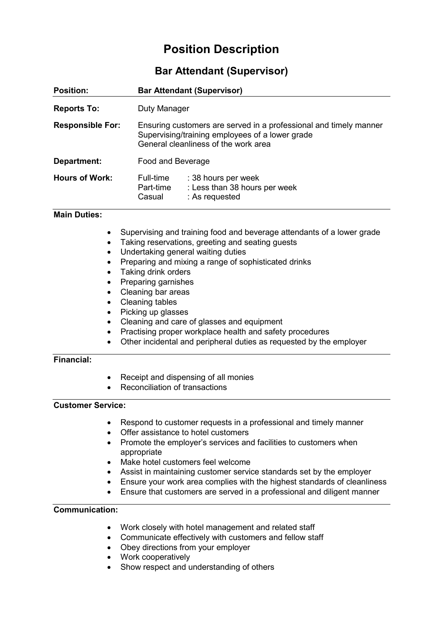# **Position Description**

## **Bar Attendant (Supervisor)**

| <b>Position:</b>        | <b>Bar Attendant (Supervisor)</b>                                                                                                                            |                                                                        |
|-------------------------|--------------------------------------------------------------------------------------------------------------------------------------------------------------|------------------------------------------------------------------------|
| <b>Reports To:</b>      | Duty Manager                                                                                                                                                 |                                                                        |
| <b>Responsible For:</b> | Ensuring customers are served in a professional and timely manner<br>Supervising/training employees of a lower grade<br>General cleanliness of the work area |                                                                        |
| Department:             | Food and Beverage                                                                                                                                            |                                                                        |
| <b>Hours of Work:</b>   | Full-time<br>Part-time<br>Casual                                                                                                                             | : 38 hours per week<br>: Less than 38 hours per week<br>: As requested |

#### **Main Duties:**

- Supervising and training food and beverage attendants of a lower grade
- Taking reservations, greeting and seating guests
- Undertaking general waiting duties
- Preparing and mixing a range of sophisticated drinks
- Taking drink orders
- Preparing garnishes
- Cleaning bar areas
- Cleaning tables
- Picking up glasses
- Cleaning and care of glasses and equipment
- Practising proper workplace health and safety procedures
- Other incidental and peripheral duties as requested by the employer

#### **Financial:**

- Receipt and dispensing of all monies
- Reconciliation of transactions

#### **Customer Service:**

- Respond to customer requests in a professional and timely manner
- Offer assistance to hotel customers
- Promote the employer's services and facilities to customers when appropriate
- Make hotel customers feel welcome
- Assist in maintaining customer service standards set by the employer
- Ensure your work area complies with the highest standards of cleanliness
- Ensure that customers are served in a professional and diligent manner

#### **Communication:**

- Work closely with hotel management and related staff
- Communicate effectively with customers and fellow staff
- Obey directions from your employer
- Work cooperatively
- Show respect and understanding of others